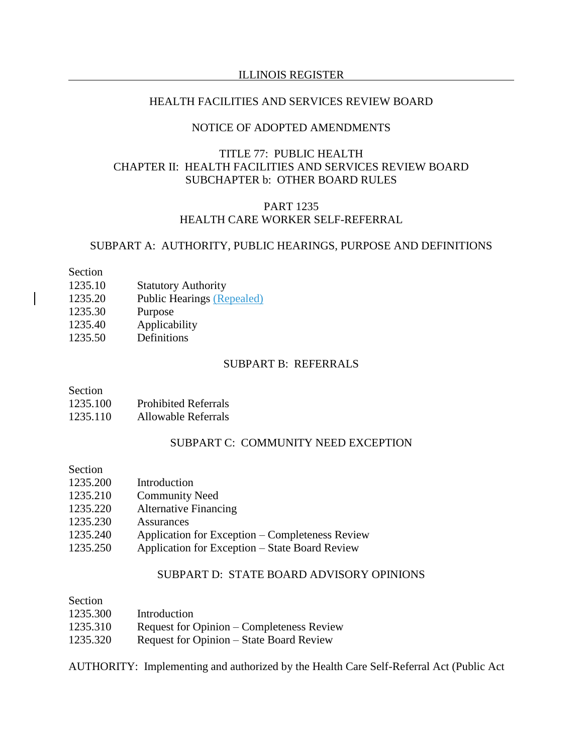#### ILLINOIS REGISTER

#### HEALTH FACILITIES AND SERVICES REVIEW BOARD

## NOTICE OF ADOPTED AMENDMENTS

## TITLE 77: PUBLIC HEALTH CHAPTER II: HEALTH FACILITIES AND SERVICES REVIEW BOARD SUBCHAPTER b: OTHER BOARD RULES

# PART 1235 HEALTH CARE WORKER SELF-REFERRAL

## SUBPART A: AUTHORITY, PUBLIC HEARINGS, PURPOSE AND DEFINITIONS

#### Section

- 1235.10 Statutory Authority
- 1235.20 Public Hearings (Repealed)
- 1235.30 Purpose
- 1235.40 Applicability
- 1235.50 Definitions

## SUBPART B: REFERRALS

#### Section

1235.110 Allowable Referrals

## SUBPART C: COMMUNITY NEED EXCEPTION

### Section

- 1235.200 Introduction
- 1235.210 Community Need
- 1235.220 Alternative Financing
- 1235.230 Assurances
- 1235.240 Application for Exception Completeness Review
- 1235.250 Application for Exception State Board Review

## SUBPART D: STATE BOARD ADVISORY OPINIONS

| Section  |                                           |
|----------|-------------------------------------------|
| 1235.300 | Introduction                              |
| 1235.310 | Request for Opinion – Completeness Review |
| 1235.320 | Request for Opinion – State Board Review  |

AUTHORITY: Implementing and authorized by the Health Care Self-Referral Act (Public Act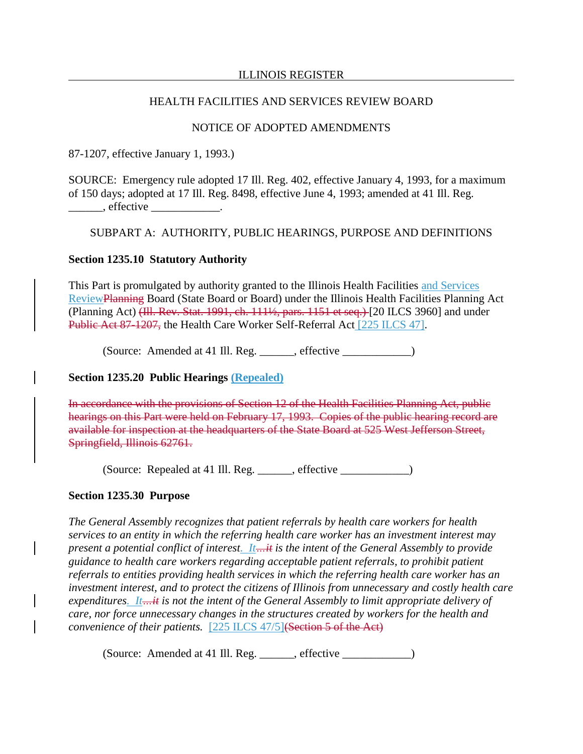#### ILLINOIS REGISTER

## HEALTH FACILITIES AND SERVICES REVIEW BOARD

## NOTICE OF ADOPTED AMENDMENTS

87-1207, effective January 1, 1993.)

SOURCE: Emergency rule adopted 17 Ill. Reg. 402, effective January 4, 1993, for a maximum of 150 days; adopted at 17 Ill. Reg. 8498, effective June 4, 1993; amended at 41 Ill. Reg. effective the set of  $\mathcal{L}$ 

#### SUBPART A: AUTHORITY, PUBLIC HEARINGS, PURPOSE AND DEFINITIONS

## **Section 1235.10 Statutory Authority**

This Part is promulgated by authority granted to the Illinois Health Facilities and Services ReviewPlanning Board (State Board or Board) under the Illinois Health Facilities Planning Act (Planning Act) (Ill. Rev. Stat. 1991, ch. 111½, pars. 1151 et seq.) [20 ILCS 3960] and under Public Act 87-1207, the Health Care Worker Self-Referral Act [225 ILCS 47].

(Source: Amended at 41 Ill. Reg. effective )

### **Section 1235.20 Public Hearings (Repealed)**

In accordance with the provisions of Section 12 of the Health Facilities Planning Act, public hearings on this Part were held on February 17, 1993. Copies of the public hearing record are available for inspection at the headquarters of the State Board at 525 West Jefferson Street, Springfield, Illinois 62761.

(Source: Repealed at 41 Ill. Reg. \_\_\_\_\_\_, effective \_\_\_\_\_\_\_\_\_\_\_\_)

## **Section 1235.30 Purpose**

*The General Assembly recognizes that patient referrals by health care workers for health services to an entity in which the referring health care worker has an investment interest may present a potential conflict of interest. It…it is the intent of the General Assembly to provide guidance to health care workers regarding acceptable patient referrals, to prohibit patient referrals to entities providing health services in which the referring health care worker has an investment interest, and to protect the citizens of Illinois from unnecessary and costly health care expenditures. It…it is not the intent of the General Assembly to limit appropriate delivery of care, nor force unnecessary changes in the structures created by workers for the health and convenience of their patients.* [225 ILCS 47/5](Section 5 of the Act)

(Source: Amended at 41 Ill. Reg. \_\_\_\_\_\_, effective \_\_\_\_\_\_\_\_\_\_\_\_)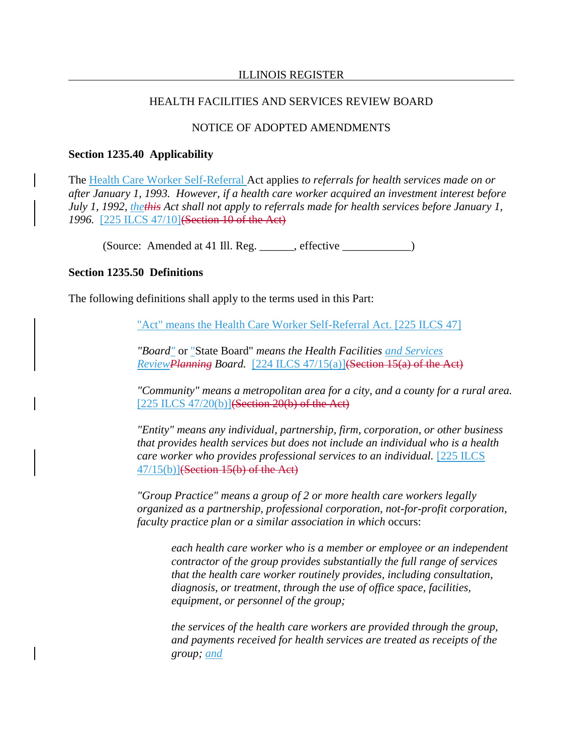### NOTICE OF ADOPTED AMENDMENTS

#### **Section 1235.40 Applicability**

The Health Care Worker Self-Referral Act applies *to referrals for health services made on or after January 1, 1993. However, if a health care worker acquired an investment interest before July 1, 1992, thethis Act shall not apply to referrals made for health services before January 1, 1996.* [225 ILCS 47/10](Section 10 of the Act)

(Source: Amended at 41 Ill. Reg. \_\_\_\_\_\_, effective \_\_\_\_\_\_\_\_\_\_\_\_)

### **Section 1235.50 Definitions**

The following definitions shall apply to the terms used in this Part:

"Act" means the Health Care Worker Self-Referral Act. [225 ILCS 47]

*"Board"* or "State Board" *means the Health Facilities and Services ReviewPlanning Board.* [224 ILCS 47/15(a)](Section 15(a) of the Act)

*"Community" means a metropolitan area for a city, and a county for a rural area.* [225 ILCS 47/20(b)] $(Section 20(b) of the Act)$ 

*"Entity" means any individual, partnership, firm, corporation, or other business that provides health services but does not include an individual who is a health care worker who provides professional services to an individual.* [225 ILCS  $47/15(b)$ ](Section 15(b) of the Act)

*"Group Practice" means a group of 2 or more health care workers legally organized as a partnership, professional corporation, not-for-profit corporation, faculty practice plan or a similar association in which* occurs:

*each health care worker who is a member or employee or an independent contractor of the group provides substantially the full range of services that the health care worker routinely provides, including consultation, diagnosis, or treatment, through the use of office space, facilities, equipment, or personnel of the group;*

*the services of the health care workers are provided through the group, and payments received for health services are treated as receipts of the group; and*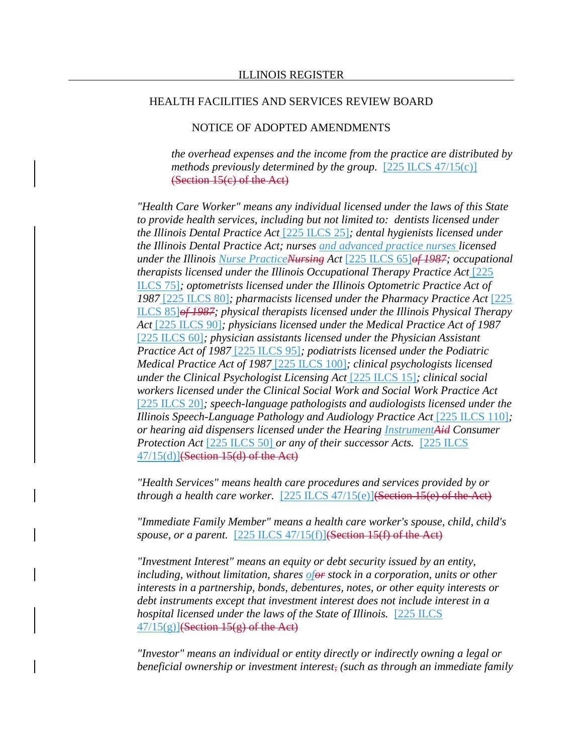## NOTICE OF ADOPTED AMENDMENTS

*the overhead expenses and the income from the practice are distributed by methods previously determined by the group.* [225 ILCS 47/15(c)] (Section 15(c) of the Act)

*"Health Care Worker" means any individual licensed under the laws of this State to provide health services, including but not limited to: dentists licensed under the Illinois Dental Practice Act* [225 ILCS 25]*; dental hygienists licensed under the Illinois Dental Practice Act; nurses and advanced practice nurses licensed under the Illinois Nurse PracticeNursing Act* [225 ILCS 65]*of 1987; occupational therapists licensed under the Illinois Occupational Therapy Practice Act* [225 ILCS 75]*; optometrists licensed under the Illinois Optometric Practice Act of 1987* [225 ILCS 80]*; pharmacists licensed under the Pharmacy Practice Act* [225 ILCS 85]*of 1987; physical therapists licensed under the Illinois Physical Therapy Act* [225 ILCS 90]*; physicians licensed under the Medical Practice Act of 1987* [225 ILCS 60]*; physician assistants licensed under the Physician Assistant Practice Act of 1987* [225 ILCS 95]*; podiatrists licensed under the Podiatric Medical Practice Act of 1987* [225 ILCS 100]*; clinical psychologists licensed under the Clinical Psychologist Licensing Act* [225 ILCS 15]*; clinical social workers licensed under the Clinical Social Work and Social Work Practice Act* [225 ILCS 20]*; speech-language pathologists and audiologists licensed under the Illinois Speech-Language Pathology and Audiology Practice Act* [225 ILCS 110]*; or hearing aid dispensers licensed under the Hearing InstrumentAid Consumer Protection Act* [225 ILCS 50] *or any of their successor Acts.* [225 ILCS  $47/15(d)$ ](Section 15(d) of the Act)

*"Health Services" means health care procedures and services provided by or through a health care worker.* [225 ILCS 47/15(e)](Section 15(e) of the Act)

*"Immediate Family Member" means a health care worker's spouse, child, child's spouse, or a parent.* [225 ILCS 47/15(f)](Section 15(f) of the Act)

*"Investment Interest" means an equity or debt security issued by an entity, including, without limitation, shares ofor stock in a corporation, units or other interests in a partnership, bonds, debentures, notes, or other equity interests or debt instruments except that investment interest does not include interest in a hospital licensed under the laws of the State of Illinois.* [225 ILCS  $47/15(g)$ ](Section 15(g) of the Act)

*"Investor" means an individual or entity directly or indirectly owning a legal or beneficial ownership or investment interest, (such as through an immediate family*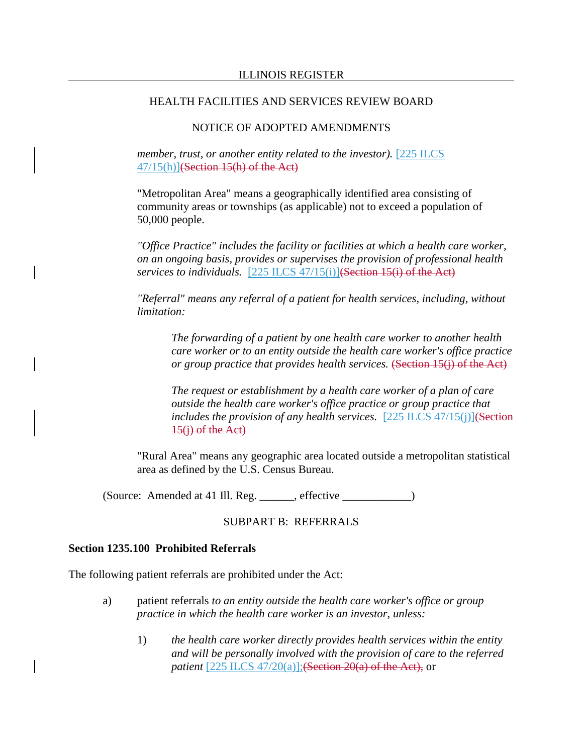## NOTICE OF ADOPTED AMENDMENTS

*member, trust, or another entity related to the investor).* [225 ILCS 47/15(h)](Section 15(h) of the Act)

"Metropolitan Area" means a geographically identified area consisting of community areas or townships (as applicable) not to exceed a population of 50,000 people.

*"Office Practice" includes the facility or facilities at which a health care worker, on an ongoing basis, provides or supervises the provision of professional health services to individuals.* [225 ILCS 47/15(i)](Section 15(i) of the Act)

*"Referral" means any referral of a patient for health services, including, without limitation:*

*The forwarding of a patient by one health care worker to another health care worker or to an entity outside the health care worker's office practice or group practice that provides health services.* (Section 15(j) of the Act)

*The request or establishment by a health care worker of a plan of care outside the health care worker's office practice or group practice that includes the provision of any health services.* [225 ILCS 47/15(j)](Section  $15(i)$  of the Act)

"Rural Area" means any geographic area located outside a metropolitan statistical area as defined by the U.S. Census Bureau.

(Source: Amended at 41 Ill. Reg. \_\_\_\_\_\_, effective \_\_\_\_\_\_\_\_\_\_\_\_)

## SUBPART B: REFERRALS

#### **Section 1235.100 Prohibited Referrals**

The following patient referrals are prohibited under the Act:

- a) patient referrals *to an entity outside the health care worker's office or group practice in which the health care worker is an investor, unless:*
	- 1) *the health care worker directly provides health services within the entity and will be personally involved with the provision of care to the referred patient* [225 ILCS 47/20(a)]; (Section 20(a) of the Act), or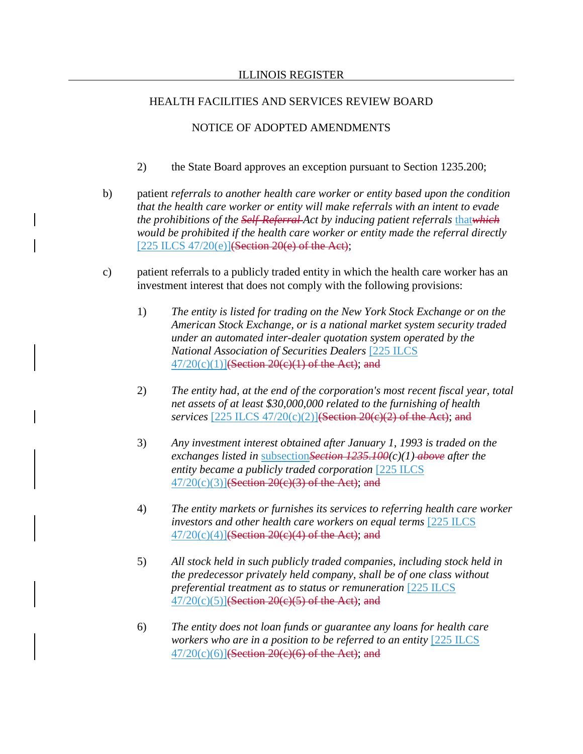## NOTICE OF ADOPTED AMENDMENTS

- 2) the State Board approves an exception pursuant to Section 1235.200;
- b) patient *referrals to another health care worker or entity based upon the condition that the health care worker or entity will make referrals with an intent to evade the prohibitions of the Self-Referral-Act by inducing patient referrals thatwhich would be prohibited if the health care worker or entity made the referral directly* [225 ILCS 47/20(e)] $(Section 20(e)$  of the Act);
- c) patient referrals to a publicly traded entity in which the health care worker has an investment interest that does not comply with the following provisions:
	- 1) *The entity is listed for trading on the New York Stock Exchange or on the American Stock Exchange, or is a national market system security traded under an automated inter-dealer quotation system operated by the National Association of Securities Dealers* [225 ILCS  $47/20(c)(1)$ ](Section 20(c)(1) of the Act); and
	- 2) *The entity had, at the end of the corporation's most recent fiscal year, total net assets of at least \$30,000,000 related to the furnishing of health services* [225 ILCS 47/20(c)(2)](Section 20(c)(2) of the Act); and
	- 3) *Any investment interest obtained after January 1, 1993 is traded on the exchanges listed in* subsection*Section 1235.100(c)(1) above after the entity became a publicly traded corporation* [225 ILCS 47/20(c)(3)](Section 20(c)(3) of the Act); and
	- 4) *The entity markets or furnishes its services to referring health care worker investors and other health care workers on equal terms* [225 ILCS  $47/20(c)(4)$ ](Section 20(c)(4) of the Act); and
	- 5) *All stock held in such publicly traded companies, including stock held in the predecessor privately held company, shall be of one class without preferential treatment as to status or remuneration* [225 ILCS  $47/20(c)(5)$ ](Section 20(c)(5) of the Act); and
	- 6) *The entity does not loan funds or guarantee any loans for health care workers who are in a position to be referred to an entity* [225 ILCS]  $47/20(c)(6)$ ](Section 20(c)(6) of the Act); and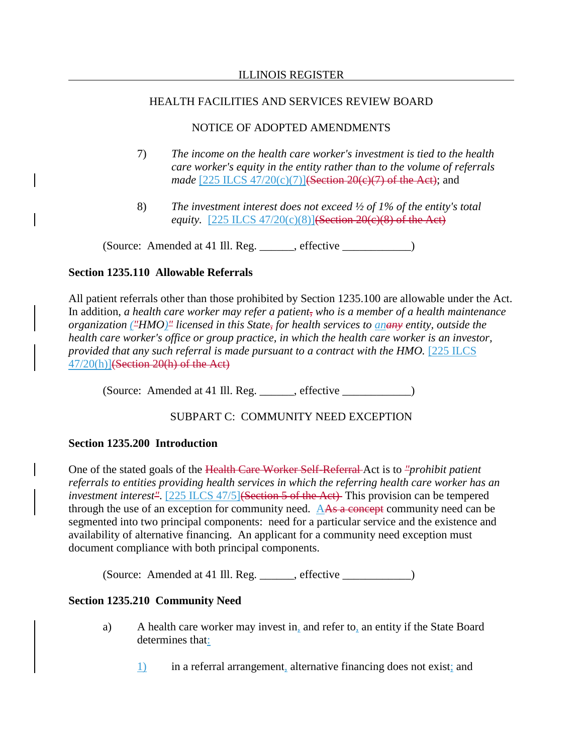## NOTICE OF ADOPTED AMENDMENTS

- 7) *The income on the health care worker's investment is tied to the health care worker's equity in the entity rather than to the volume of referrals made* [225 ILCS 47/20(c)(7)]<del>(Section 20(c)(7) of the Act)</del>; and
- 8) *The investment interest does not exceed ½ of 1% of the entity's total equity.* [225 ILCS 47/20(c)(8)](Section 20(e)(8) of the Act)

(Source: Amended at 41 Ill. Reg. \_\_\_\_\_\_, effective \_\_\_\_\_\_\_\_\_\_\_\_)

## **Section 1235.110 Allowable Referrals**

All patient referrals other than those prohibited by Section 1235.100 are allowable under the Act. In addition, *a health care worker may refer a patient, who is a member of a health maintenance organization ("HMO)" licensed in this State, for health services to anany entity, outside the health care worker's office or group practice, in which the health care worker is an investor, provided that any such referral is made pursuant to a contract with the HMO.* [225 ILCS  $47/20(h)$ ](Section 20(h) of the Act)

(Source: Amended at 41 Ill. Reg. \_\_\_\_\_\_, effective \_\_\_\_\_\_\_\_\_\_\_\_)

# SUBPART C: COMMUNITY NEED EXCEPTION

# **Section 1235.200 Introduction**

One of the stated goals of the Health Care Worker Self-Referral Act is to *"prohibit patient referrals to entities providing health services in which the referring health care worker has an investment interest<sup>"</sup>*. [225 ILCS 47/5]<del>(Section 5 of the Act)</del> This provision can be tempered through the use of an exception for community need. AAs a concept community need can be segmented into two principal components: need for a particular service and the existence and availability of alternative financing. An applicant for a community need exception must document compliance with both principal components.

(Source: Amended at 41 Ill. Reg. \_\_\_\_\_\_, effective \_\_\_\_\_\_\_\_\_\_\_\_)

# **Section 1235.210 Community Need**

- a) A health care worker may invest in, and refer to, an entity if the State Board determines that:
	- 1) in a referral arrangement, alternative financing does not exist; and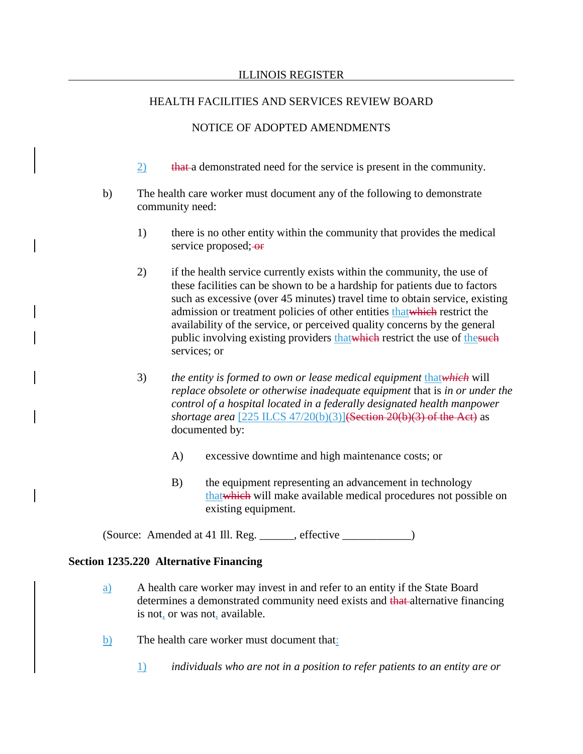## NOTICE OF ADOPTED AMENDMENTS

- 2) that a demonstrated need for the service is present in the community.
- b) The health care worker must document any of the following to demonstrate community need:
	- 1) there is no other entity within the community that provides the medical service proposed; or
	- 2) if the health service currently exists within the community, the use of these facilities can be shown to be a hardship for patients due to factors such as excessive (over 45 minutes) travel time to obtain service, existing admission or treatment policies of other entities thatwhich restrict the availability of the service, or perceived quality concerns by the general public involving existing providers that which restrict the use of the such services; or
	- 3) *the entity is formed to own or lease medical equipment* that*which* will *replace obsolete or otherwise inadequate equipment* that is *in or under the control of a hospital located in a federally designated health manpower shortage area* [225 ILCS 47/20(b)(3)](Section 20(b)(3) of the Act) as documented by:
		- A) excessive downtime and high maintenance costs; or
		- B) the equipment representing an advancement in technology thatwhich will make available medical procedures not possible on existing equipment.

(Source: Amended at 41 Ill. Reg. effective )

## **Section 1235.220 Alternative Financing**

- a) A health care worker may invest in and refer to an entity if the State Board determines a demonstrated community need exists and that alternative financing is not, or was not, available.
- b) The health care worker must document that:
	- 1) *individuals who are not in a position to refer patients to an entity are or*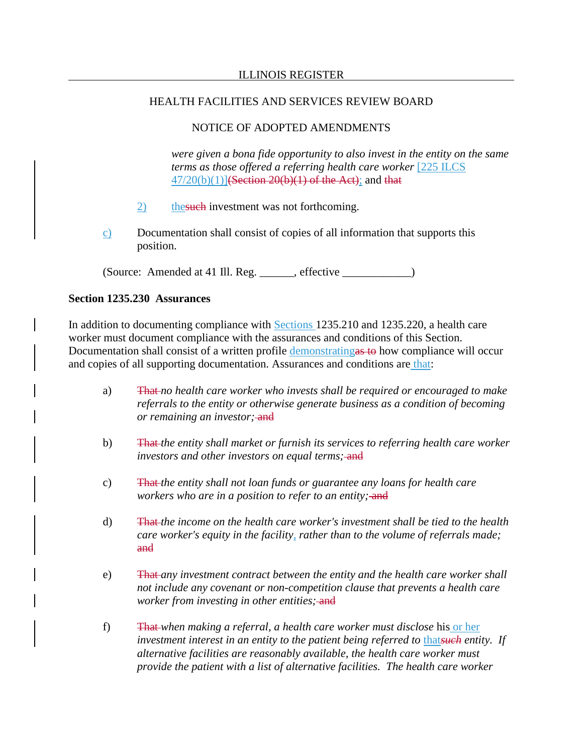## NOTICE OF ADOPTED AMENDMENTS

*were given a bona fide opportunity to also invest in the entity on the same terms as those offered a referring health care worker* [225 ILCS  $47/20(b)(1)$ ](Section 20(b)(1) of the Act); and that

- 2) the such investment was not forthcoming.
- c) Documentation shall consist of copies of all information that supports this position.

(Source: Amended at 41 Ill. Reg. \_\_\_\_\_\_, effective \_\_\_\_\_\_\_\_\_\_\_\_\_\_\_\_\_\_\_\_\_\_\_\_\_\_\_\_\_\_

## **Section 1235.230 Assurances**

In addition to documenting compliance with **Sections** 1235.210 and 1235.220, a health care worker must document compliance with the assurances and conditions of this Section. Documentation shall consist of a written profile demonstratingas to how compliance will occur and copies of all supporting documentation. Assurances and conditions are that:

- a) That *no health care worker who invests shall be required or encouraged to make referrals to the entity or otherwise generate business as a condition of becoming or remaining an investor;* and
- b) That *the entity shall market or furnish its services to referring health care worker investors and other investors on equal terms;* and
- c) That *the entity shall not loan funds or guarantee any loans for health care workers who are in a position to refer to an entity;* and
- d) That *the income on the health care worker's investment shall be tied to the health care worker's equity in the facility, rather than to the volume of referrals made;* and
- e) That *any investment contract between the entity and the health care worker shall not include any covenant or non-competition clause that prevents a health care worker from investing in other entities*; and
- f) That *when making a referral, a health care worker must disclose* his or her *investment interest in an entity to the patient being referred to that such entity. If alternative facilities are reasonably available, the health care worker must provide the patient with a list of alternative facilities. The health care worker*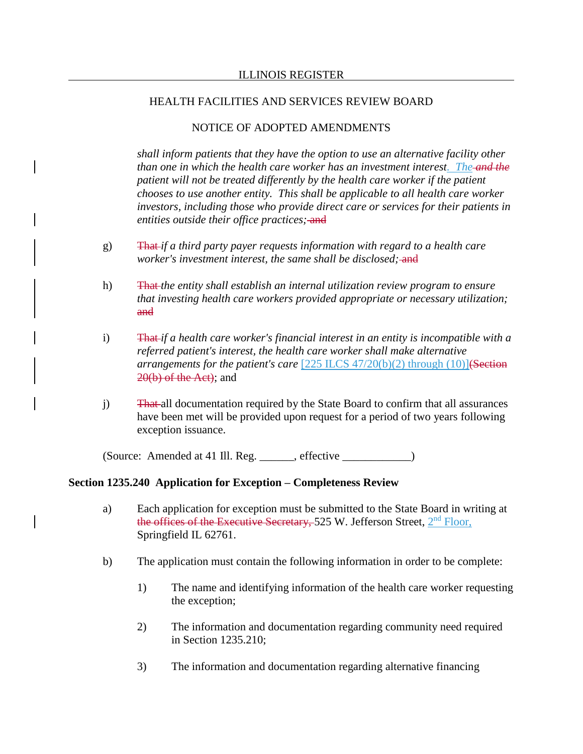## NOTICE OF ADOPTED AMENDMENTS

*shall inform patients that they have the option to use an alternative facility other than one in which the health care worker has an investment interest. The and the patient will not be treated differently by the health care worker if the patient chooses to use another entity. This shall be applicable to all health care worker investors, including those who provide direct care or services for their patients in entities outside their office practices;* and

- g) That *if a third party payer requests information with regard to a health care worker's investment interest, the same shall be disclosed*; and
- h) That *the entity shall establish an internal utilization review program to ensure that investing health care workers provided appropriate or necessary utilization;* and
- i) That *if a health care worker's financial interest in an entity is incompatible with a referred patient's interest, the health care worker shall make alternative arrangements for the patient's care* [225 ILCS 47/20(b)(2) through (10)](Section 20(b) of the Act); and
- j) That all documentation required by the State Board to confirm that all assurances have been met will be provided upon request for a period of two years following exception issuance.

(Source: Amended at 41 Ill. Reg. effective )

## **Section 1235.240 Application for Exception – Completeness Review**

- a) Each application for exception must be submitted to the State Board in writing at the offices of the Executive Secretary, 525 W. Jefferson Street,  $2<sup>nd</sup>$  Floor, Springfield IL 62761.
- b) The application must contain the following information in order to be complete:
	- 1) The name and identifying information of the health care worker requesting the exception;
	- 2) The information and documentation regarding community need required in Section 1235.210;
	- 3) The information and documentation regarding alternative financing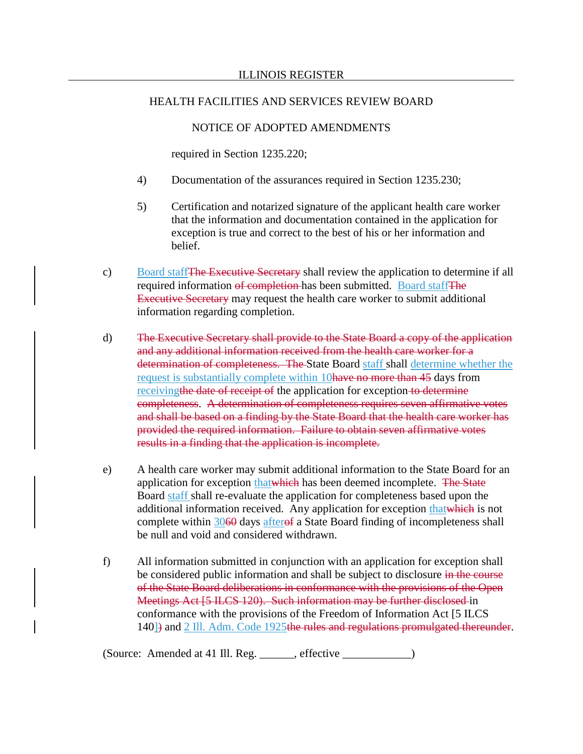## NOTICE OF ADOPTED AMENDMENTS

required in Section 1235.220;

- 4) Documentation of the assurances required in Section 1235.230;
- 5) Certification and notarized signature of the applicant health care worker that the information and documentation contained in the application for exception is true and correct to the best of his or her information and belief.
- c) Board staffThe Executive Secretary shall review the application to determine if all required information of completion has been submitted. Board staff The Executive Secretary may request the health care worker to submit additional information regarding completion.
- d) The Executive Secretary shall provide to the State Board a copy of the application and any additional information received from the health care worker for a determination of completeness. The State Board staff shall determine whether the request is substantially complete within 10 have no more than 45 days from receiving the date of receipt of the application for exception to determine completeness. A determination of completeness requires seven affirmative votes and shall be based on a finding by the State Board that the health care worker has provided the required information. Failure to obtain seven affirmative votes results in a finding that the application is incomplete.
- e) A health care worker may submit additional information to the State Board for an application for exception that which has been deemed incomplete. The State Board staff shall re-evaluate the application for completeness based upon the additional information received. Any application for exception that which is not complete within 3060 days afterof a State Board finding of incompleteness shall be null and void and considered withdrawn.
- f) All information submitted in conjunction with an application for exception shall be considered public information and shall be subject to disclosure in the course of the State Board deliberations in conformance with the provisions of the Open Meetings Act [5 ILCS 120). Such information may be further disclosed in conformance with the provisions of the Freedom of Information Act [5 ILCS 140<sup>-</sup>) and 2 III. Adm. Code 1925the rules and regulations promulgated thereunder.

(Source: Amended at 41 Ill. Reg. \_\_\_\_\_\_, effective \_\_\_\_\_\_\_\_\_\_\_\_)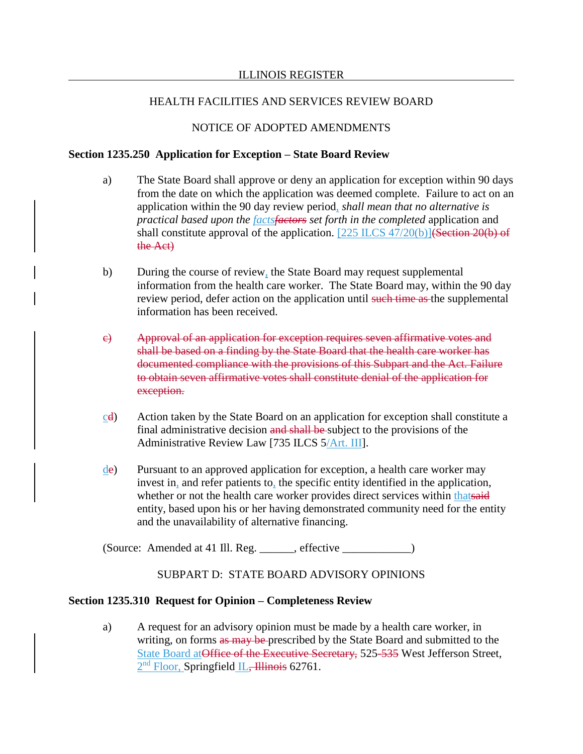## NOTICE OF ADOPTED AMENDMENTS

### **Section 1235.250 Application for Exception – State Board Review**

- a) The State Board shall approve or deny an application for exception within 90 days from the date on which the application was deemed complete. Failure to act on an application within the 90 day review period, *shall mean that no alternative is practical based upon the factsfactors set forth in the completed* application and shall constitute approval of the application. [225 ILCS 47/20(b)](Section 20(b) of the Act)
- b) During the course of review, the State Board may request supplemental information from the health care worker. The State Board may, within the 90 day review period, defer action on the application until such time as the supplemental information has been received.
- c) Approval of an application for exception requires seven affirmative votes and shall be based on a finding by the State Board that the health care worker has documented compliance with the provisions of this Subpart and the Act. Failure to obtain seven affirmative votes shall constitute denial of the application for exception.
- cd) Action taken by the State Board on an application for exception shall constitute a final administrative decision and shall be subject to the provisions of the Administrative Review Law [735 ILCS 5/Art. III].
- de) Pursuant to an approved application for exception, a health care worker may invest in, and refer patients to, the specific entity identified in the application, whether or not the health care worker provides direct services within thatsaid entity, based upon his or her having demonstrated community need for the entity and the unavailability of alternative financing.

(Source: Amended at 41 Ill. Reg. \_\_\_\_\_\_, effective \_\_\_\_\_\_\_\_\_\_\_\_)

## SUBPART D: STATE BOARD ADVISORY OPINIONS

## **Section 1235.310 Request for Opinion – Completeness Review**

a) A request for an advisory opinion must be made by a health care worker, in writing, on forms as may be prescribed by the State Board and submitted to the State Board at Office of the Executive Secretary, 525-535 West Jefferson Street, 2<sup>nd</sup> Floor, Springfield IL, Illinois 62761.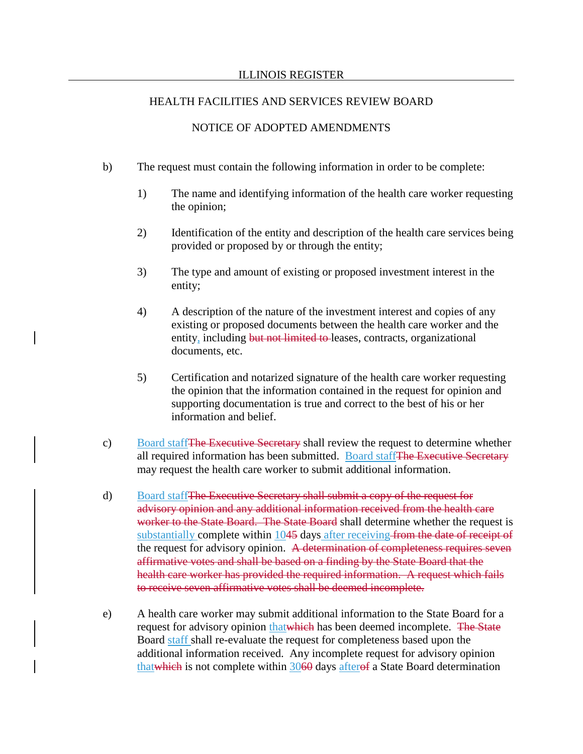#### ILLINOIS REGISTER

#### HEALTH FACILITIES AND SERVICES REVIEW BOARD

## NOTICE OF ADOPTED AMENDMENTS

- b) The request must contain the following information in order to be complete:
	- 1) The name and identifying information of the health care worker requesting the opinion;
	- 2) Identification of the entity and description of the health care services being provided or proposed by or through the entity;
	- 3) The type and amount of existing or proposed investment interest in the entity;
	- 4) A description of the nature of the investment interest and copies of any existing or proposed documents between the health care worker and the entity, including but not limited to leases, contracts, organizational documents, etc.
	- 5) Certification and notarized signature of the health care worker requesting the opinion that the information contained in the request for opinion and supporting documentation is true and correct to the best of his or her information and belief.
- c) Board staffThe Executive Secretary shall review the request to determine whether all required information has been submitted. Board staffThe Executive Secretary may request the health care worker to submit additional information.
- d) Board staffThe Executive Secretary shall submit a copy of the request for advisory opinion and any additional information received from the health care worker to the State Board. The State Board shall determine whether the request is substantially complete within 1045 days after receiving from the date of receipt of the request for advisory opinion. A determination of completeness requires seven affirmative votes and shall be based on a finding by the State Board that the health care worker has provided the required information. A request which fails to receive seven affirmative votes shall be deemed incomplete.
- e) A health care worker may submit additional information to the State Board for a request for advisory opinion that which has been deemed incomplete. The State Board staff shall re-evaluate the request for completeness based upon the additional information received. Any incomplete request for advisory opinion thatwhich is not complete within 3060 days afterof a State Board determination